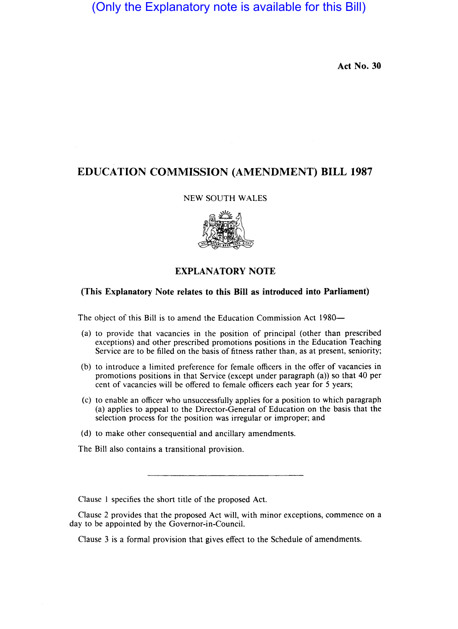# (Only the Explanatory note is available for this Bill)

**Act No. 30** 

## **EDUCATION COMMISSION (AMENDMENT) BILL 1987**

#### NEW SOUTH WALES



### **EXPLANATORY NOTE**

#### **(This Explanatory Note relates to this Bill as introduced into Parliament)**

The object of this Bill is to amend the Education Commission Act 1980—

- (a) to provide that vacancies in the position of principal (other than prescribed exceptions) and other prescribed promotions positions in the Education Teaching Service are to be filled on the basis of fitness rather than, as at present, seniority;
- (b) to introduce a limited preference for female officers in the offer of vacancies in promotions positions in that Service (except under paragraph  $(a)$ ) so that 40 per cent of vacancies will be offered to female officers each year for 5 years;
- (c) to enable an officer who unsuccessfully applies for a position to which paragraph (a) applies to appeal to the Director-General of Education on the basis that the selection process for the position was irregular or improper; and
- (d) to make other consequential and ancillary amendments.

The Bill also contains a transitional provision.

Clause 1 specifies the short title of the proposed Act.

Clause 2 provides that the proposed Act will, with minor exceptions, commence on a day to be appointed by the Governor-in-Council.

Clause 3 is a formal provision that gives effect to the Schedule of amendments.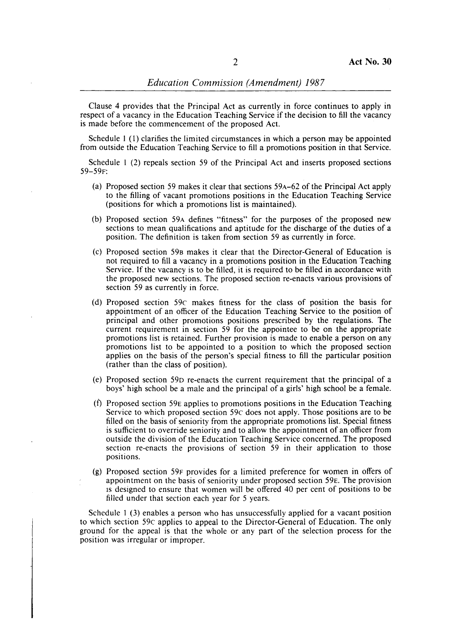Clause 4 provides that the Principal Act as currently in force continues to apply in respect of a vacancy in the Education Teaching Service if the decision to fill the vacancy is made before the commencement of the proposed Act.

Schedule I (I) clarifies the limited circumstances in which a person may be appointed from outside the Education Teaching Service to fill a promotions position in that Service.

Schedule I (2) repeals section 59 of the Principal Act and inserts proposed sections 59-59F:

- (a) Proposed section 59 makes it clear that sections 59A-62 of the Principal Act apply to the filling of vacant promotions positions in the Education Teaching Service (positions for which a promotions list is maintained).
- (b) Proposed section 59A defines "fitness" for the purposes of the proposed new sections to mean qualifications and aptitude for the discharge of the duties of a position. The definition is taken from section 59 as currently in force.
- (c) Proposed section 59B makes it clear that the Director-General of Education is not required to fill a vacancy in a promotions position in the Education Teaching Service. If the vacancy is to be filled, it is required to be filled in accordance with the proposed new sections. The proposed section re-enacts various provisions of section 59 as currently in force.
- (d) Proposed section 59c makes fitness for the class of position the basis for appointment of an officer of the Education Teaching Service to the position of principal and other promotions positions prescribed by the regulations. The current requirement in section 59 for the appointee to be on the appropriate promotions list is retained. Further provision is made to enable a person on any promotions list to be appointed to a position to which the proposed section applies on the basis of the person's special fitness to fill the particular position (rather than the class of position).
- (e) Proposed section 59D re-enacts the current requirement that the principal of a boys' high school be a male and the principal of a girls' high school be a female.
- (f) Proposed section 59E applies to promotions positions in the Education Teaching Service to which proposed section 59c does not apply. Those positions are to be filled on the basis of seniority from the appropriate promotions list. Special fitness is sufficient to override seniority and to allow the appointment of an officer from outside the division of the Education Teaching Service concerned. The proposed section re-enacts the provisions of section 59 in their application to those positions.
- (g) Proposed section 59F provides for a limited preference for women in offers of appointment on the basis of seniority under proposed section 59E. The provision IS designed to ensure that women will be offered 40 per cent of positions to be filled under that section each year for 5 years.

Schedule 1 (3) enables a person who has unsuccessfully applied for a vacant position to which section 59c applies to appeal to the Director-General of Education. The only ground for the appeal is that the whole or any part of the selection process for the position was irregular or improper.